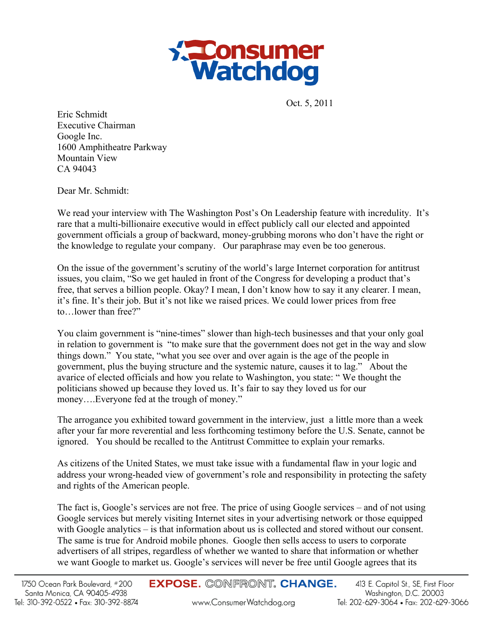

Oct. 5, 2011

Eric Schmidt Executive Chairman Google Inc. 1600 Amphitheatre Parkway Mountain View CA 94043

Dear Mr. Schmidt:

We read your interview with The Washington Post's On Leadership feature with incredulity. It's rare that a multi-billionaire executive would in effect publicly call our elected and appointed government officials a group of backward, money-grubbing morons who don't have the right or the knowledge to regulate your company. Our paraphrase may even be too generous.

On the issue of the government's scrutiny of the world's large Internet corporation for antitrust issues, you claim, "So we get hauled in front of the Congress for developing a product that's free, that serves a billion people. Okay? I mean, I don't know how to say it any clearer. I mean, it's fine. It's their job. But it's not like we raised prices. We could lower prices from free to…lower than free?"

You claim government is "nine-times" slower than high-tech businesses and that your only goal in relation to government is "to make sure that the government does not get in the way and slow things down." You state, "what you see over and over again is the age of the people in government, plus the buying structure and the systemic nature, causes it to lag." About the avarice of elected officials and how you relate to Washington, you state: " We thought the politicians showed up because they loved us. It's fair to say they loved us for our money….Everyone fed at the trough of money."

The arrogance you exhibited toward government in the interview, just a little more than a week after your far more reverential and less forthcoming testimony before the U.S. Senate, cannot be ignored. You should be recalled to the Antitrust Committee to explain your remarks.

As citizens of the United States, we must take issue with a fundamental flaw in your logic and address your wrong-headed view of government's role and responsibility in protecting the safety and rights of the American people.

The fact is, Google's services are not free. The price of using Google services – and of not using Google services but merely visiting Internet sites in your advertising network or those equipped with Google analytics – is that information about us is collected and stored without our consent. The same is true for Android mobile phones. Google then sells access to users to corporate advertisers of all stripes, regardless of whether we wanted to share that information or whether we want Google to market us. Google's services will never be free until Google agrees that its

www.ConsumerWatchdog.org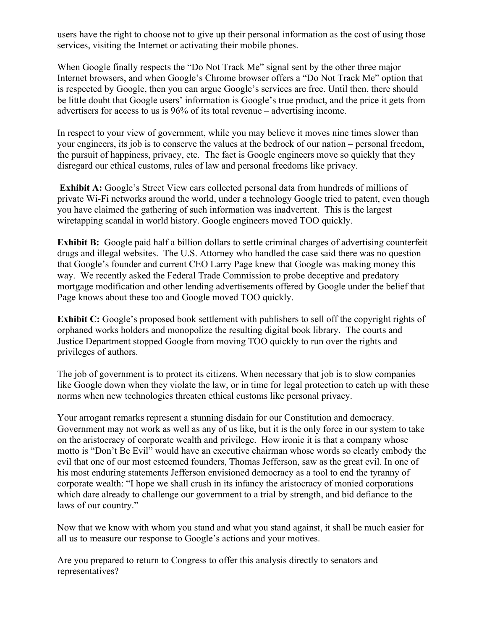users have the right to choose not to give up their personal information as the cost of using those services, visiting the Internet or activating their mobile phones.

When Google finally respects the "Do Not Track Me" signal sent by the other three major Internet browsers, and when Google's Chrome browser offers a "Do Not Track Me" option that is respected by Google, then you can argue Google's services are free. Until then, there should be little doubt that Google users' information is Google's true product, and the price it gets from advertisers for access to us is 96% of its total revenue – advertising income.

In respect to your view of government, while you may believe it moves nine times slower than your engineers, its job is to conserve the values at the bedrock of our nation – personal freedom, the pursuit of happiness, privacy, etc. The fact is Google engineers move so quickly that they disregard our ethical customs, rules of law and personal freedoms like privacy.

**Exhibit A:** Google's Street View cars collected personal data from hundreds of millions of private Wi-Fi networks around the world, under a technology Google tried to patent, even though you have claimed the gathering of such information was inadvertent. This is the largest wiretapping scandal in world history. Google engineers moved TOO quickly.

**Exhibit B:** Google paid half a billion dollars to settle criminal charges of advertising counterfeit drugs and illegal websites. The U.S. Attorney who handled the case said there was no question that Google's founder and current CEO Larry Page knew that Google was making money this way. We recently asked the Federal Trade Commission to probe deceptive and predatory mortgage modification and other lending advertisements offered by Google under the belief that Page knows about these too and Google moved TOO quickly.

**Exhibit C:** Google's proposed book settlement with publishers to sell off the copyright rights of orphaned works holders and monopolize the resulting digital book library. The courts and Justice Department stopped Google from moving TOO quickly to run over the rights and privileges of authors.

The job of government is to protect its citizens. When necessary that job is to slow companies like Google down when they violate the law, or in time for legal protection to catch up with these norms when new technologies threaten ethical customs like personal privacy.

Your arrogant remarks represent a stunning disdain for our Constitution and democracy. Government may not work as well as any of us like, but it is the only force in our system to take on the aristocracy of corporate wealth and privilege. How ironic it is that a company whose motto is "Don't Be Evil" would have an executive chairman whose words so clearly embody the evil that one of our most esteemed founders, Thomas Jefferson, saw as the great evil. In one of his most enduring statements Jefferson envisioned democracy as a tool to end the tyranny of corporate wealth: "I hope we shall crush in its infancy the aristocracy of monied corporations which dare already to challenge our government to a trial by strength, and bid defiance to the laws of our country."

Now that we know with whom you stand and what you stand against, it shall be much easier for all us to measure our response to Google's actions and your motives.

Are you prepared to return to Congress to offer this analysis directly to senators and representatives?